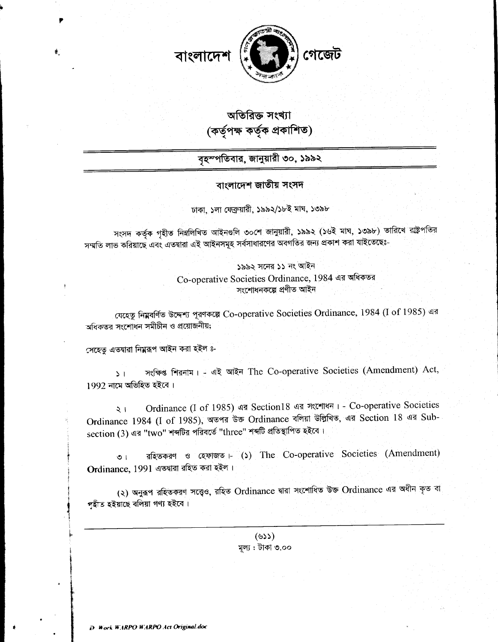

## অতিরিক্ত সংখ্যা (কৰ্তৃপক্ষ কৰ্তৃক প্ৰকাশিত)

বৃহস্পতিবার, জানুয়ারী ৩০, ১৯৯২

বাংলাদেশ জাতীয় সংসদ

ঢাকা, ১লা ফেব্রুয়ারী, ১৯৯২/১৮ই মাঘ, ১৩৯৮

সংসদ কৰ্তৃক গৃহীত নিম্নলিখিত আইনগুলি ৩০শে জানুয়ারী, ১৯৯২ (১৬ই মাঘ, ১৩৯৮) তারিখে রাষ্ট্রপতির সম্মতি লাভ করিয়াছে এবং এতদারা এই আইনসমূহ সর্বসাধারণের অবগতির জন্য প্রকাশ করা যাইতেছেঃ-

> ১৯৯২ সনের ১১ নং আইন Co-operative Societies Ordinance, 1984 এর অধিকতর সংশোধনকল্পে প্ৰণীত আইন

বেহেতু নিমবৰ্ণিত উদ্দেশ্য পূৱণকল্পে Co-operative Societies Ordinance, 1984 (I of 1985) এর অধিকতর সংশোধন সমীচীন ও প্রয়োজনীয়;

সেহেতু এতদ্বারা নিমুরূপ আইন করা হইল ৪-

羲

সংক্ষিপ্ত শিৱনাম। - এই আইন The Co-operative Societies (Amendment) Act,  $51$ 1992 নামে অভিহিত হইবে।

Ordinance (I of 1985) এর Section18 এর সংশোধন। - Co-operative Societies  $\frac{1}{2}$ Ordinance 1984 (I of 1985), অতপর উক্ত Ordinance বলিয়া উল্লিখিত, এর Section 18 এর Subsection (3) এর "two" শব্দটির পরিবর্তে "three" শব্দটি প্রতিস্থাপিত হইবে।

রহিতকরণ ও হেফাজত - (১) The Co-operative Societies (Amendment)  $\overline{O}$  1 Ordinance, 1991 এতদারা রহিত করা হইল।

(২) অনুরূপ রহিতকরণ সত্ত্বেও, রহিত Ordinance দ্বারা সংশোধিত উক্ত Ordinance এর অধীন কৃত বা গহীত হইয়াছে বলিয়া গণ্য হইবে।

> $(\mathcal{CC})$ মূল্য : টাকা ৩.০০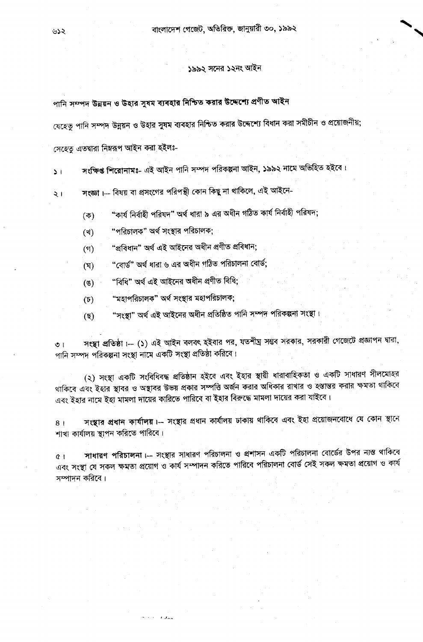## ১৯৯২ সনের ১২নং আইন

## পানি সম্পদ উন্নয়ন ও উহার সুষম ব্যবহার নিশ্চিত করার উদ্দেশ্যে প্রণীত আইন

যেহেতু পানি সম্পদ উন্নয়ন ও উহার সুষম ব্যবহার নিশ্চিত করার উদ্দেশ্যে বিধান করা সমীচীন ও প্রয়োজনীয়;

সেহেতু এতদারা নিম্নরূপ আইন করা হইলঃ-

## সংক্ষিপ্ত শিরোনামঃ- এই আইন পানি সম্পদ পরিকল্পনা আইন, ১৯৯২ নামে অভিহিত হইবে।  $\mathbf{5}$

সংজ্ঞা।-- বিষয় বা প্রসংগের পরিপন্থী কোন কিছু না থাকিলে, এই আইনে- $\lambda +$ 

> "কাৰ্য নিৰ্বাহী পরিষদ" অৰ্থ ধারা ৯ এর অধীন গঠিত কাৰ্য নিৰ্বাহী পরিষদ:  $(\vec{\Phi})$

- "পরিচালক" অর্থ সংস্থার পরিচালক: (খ)
- "প্ৰবিধান" অৰ্থ এই আইনের অধীন প্ৰণীত প্ৰবিধান;  $(5)$
- "বোর্ড" অর্থ ধারা ৬ এর অধীন গঠিত পরিচালনা বোর্ড:  $(\nabla)$
- "বিধি" অৰ্থ এই আইনের অধীন প্রণীত বিধি;  $(8)$
- "মহাপরিচালক" অর্থ সংস্থার মহাপরিচালক:  $(\mathfrak{d})$

 $1.31$ 

"সংস্থা" অৰ্থ এই আইনের অধীন প্রতিষ্ঠিত পানি সম্পদ পরিকল্পনা সংস্থা।  $(\overline{2})$ 

সংস্থা প্রতিষ্ঠা i-- (১) এই আইন বলবৎ হইবার পর, যতশীঘ্র সম্ভব সরকার, সরকারী গেজেটে প্রজ্ঞাপন দ্বারা, ৩৷ পানি সম্পদ পরিকল্পনা সংস্থা নামে একটি সংস্থা প্রতিষ্ঠা করিবে।

(২) সংস্থা একটি সংবিধিবদ্ধ প্রতিষ্ঠান হইবে এবং ইহার স্থায়ী ধারাবাহিকতা ও একটি সাধারণ সীলমোহর থাকিবে এবং ইহার স্থাবর ও অস্থাবর উভয় প্রকার সম্পত্তি অর্জন করার অধিকার রাখার ও হস্তান্তর করার ক্ষমতা থাকিবে এবং ইহার নামে ইহা মামলা দায়ের কারিতে পারিবে বা ইহার বিরুদ্ধে মামলা দায়ের করা যাইবে।

সংস্থার প্রধান কার্যালয়।-- সংস্থার প্রধান কার্যালয় ঢাকায় থাকিবে এবং ইহা প্রয়োজনবোধে যে কোন স্থানে  $8<sub>1</sub>$ শাখা কাৰ্যালয় স্থাপন কৰিতে পাৰিবে।

সাধারণ পরিচালনা।-- সংস্থার সাধারণ পরিচালনা ও প্রশাসন একটি পরিচালনা বোর্ডের উপর ন্যস্ত থাকিবে  $\ddot{c}$ এবং সংস্থা যে সকল ক্ষমতা প্রয়োগ ও কার্য সম্পাদন করিতে পারিবে পরিচালনা বোর্ড সেই সকল ক্ষমতা প্রয়োগ ও কার্য সম্পাদন করিবে।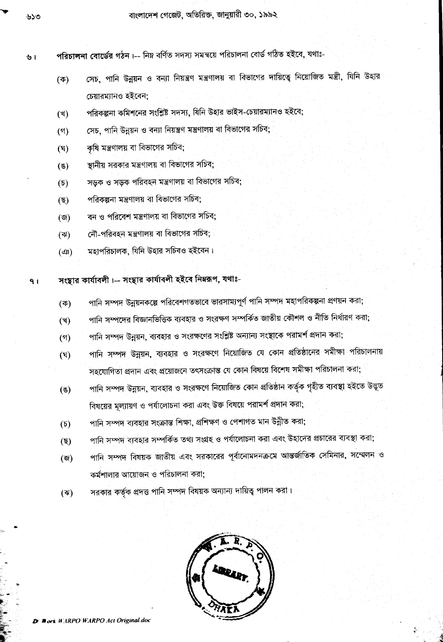পরিচালনা বোর্ডের গঠন।-- নিম্ন বর্ণিত সদস্য সমন্বয়ে পরিচালনা বোর্ড গঠিত হইবে, যথাঃ-৬।

- সেচ, পানি উন্নয়ন ও বন্যা নিয়ন্ত্রণ মন্ত্রণালয় বা বিভাগের দায়িত্বে নিয়োজিত মন্ত্রী, যিনি উহার  $(\overline{\Phi})$ চেয়ারম্যানও হইবেন:
- পরিকল্পনা কমিশনের সংশ্লিষ্ট সদস্য, যিনি উহার ভাইস-চেয়ারম্যানও হইবে: (খ)
- সেচ, পানি উন্নয়ন ও বন্যা নিয়ন্ত্রণ মন্ত্রণালয় বা বিভাগের সচিব;  $($ গ)
- কষি মন্ত্রণালয় বা বিভাগের সচিব;  $(\nabla)$
- স্তানীয় সরকার মন্ত্রণালয় বা বিভাগের সচিব;  $(3)$
- সডক ও সডক পরিবহন মন্ত্রণালয় বা বিভাগের সচিব;  $(\mathfrak{d})$
- পরিকল্পনা মন্ত্রণালয় বা বিভাগের সচিব;  $(\overline{R})$
- বন ও পরিবেশ মন্ত্রণালয় বা বিভাগের সচিব:  $($ জ)
- নৌ-পরিবহন মন্ত্রণালয় বা বিভাগের সচিব:  $(4)$
- মহাপরিচালক, যিনি উহার সচিবও হইবেন।  $(\mathfrak{B})$

সংস্থার কার্যাবলী।-- সংস্থার কার্যাবলী হইবে নিম্নরূপ, যথাঃ- $91$ 

- পানি সম্পদ উন্নয়নকল্পে পরিবেশগতভাবে ভারসাম্যপূর্ণ পানি সম্পদ মহাপরিকল্পনা প্রণয়ন করা;  $(\vec{\Phi})$
- পানি সম্পদের বিজ্ঞানভিত্তিক ব্যবহার ও সংরক্ষণ সম্পর্কিত জাতীয় কৌশল ও নীতি নির্ধারণ করা;  $(3)$
- পানি সম্পদ উন্নয়ন, ব্যবহার ও সংরক্ষণের সংশ্লিষ্ট অন্যান্য সংস্থাকে পরামর্শ প্রদান করা;  $($ গ)
- পানি সম্পদ উন্নয়ন, ব্যবহার ও সংরক্ষণে নিয়োজিত যে কোন প্রতিষ্ঠানের সমীক্ষা পরিচালনায়  $(\nabla)$ সহযোগিতা প্রদান এবং প্রয়োজনে তৎসংক্রান্ত যে কোন বিষয়ে বিশেষ সমীক্ষা পরিচালনা করা;
- পানি সম্পদ উনুয়ন, ব্যবহার ও সংরক্ষণে নিয়োজিত কোন প্রতিষ্ঠান কর্তৃক গৃহীত ব্যবস্থা হইতে উদ্ভূত  $(3)$ বিষয়ের মূল্যায়ণ ও পর্যালোচনা করা এবং উক্ত বিষয়ে পরামর্শ প্রদান করা;
- পানি সম্পদ ব্যবহার সংক্রান্ত শিক্ষা, প্রশিক্ষণ ও পেশাগত মান উন্নীত করা:  $(\mathfrak{v})$
- পানি সম্পদ ব্যবহার সম্পর্কিত তথ্য সংগ্রহ ও পর্যালোচনা করা এবং উহাদের প্রচারের ব্যবস্থা করা:  $(\overline{\mathbf{z}})$
- পানি সম্পদ বিষয়ক জাতীয় এবং সরকারের পূর্বানোমদনক্রমে আন্তর্জাতিক সেমিনার, সম্মেলন ও (জ) কর্মশালার আয়োজন ও পরিচালনা করা;
- সরকার কর্তৃক প্রদত্ত পানি সম্পদ বিষয়ক অন্যান্য দায়িত্ব পালন করা। (ঝ)

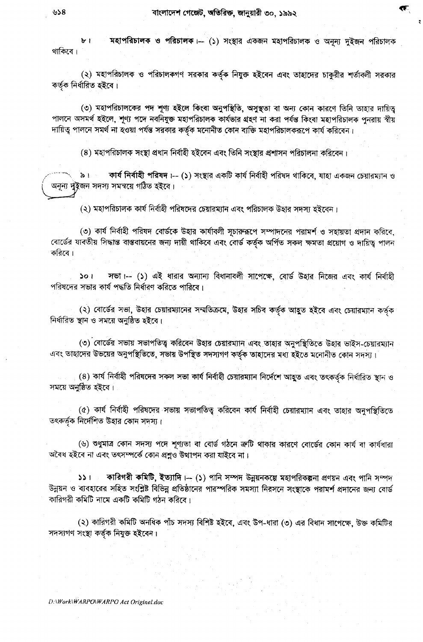মহাপরিচালক ও পরিচালক।-- (১) সংস্থার একজন মহাপরিচালক ও অনুন্য দুইজন পরিচালক  $\mathbf{r}$ থাকিবে।

(২) মহাপরিচালক ও পরিচালকগণ সরকার কর্তৃক নিযুক্ত হইবেন এবং তাহাদের চাকুরীর শর্তাবলী সরকার কৰ্তক নিৰ্ধারিত হইবে।

(৩) মহাপরিচালকের পদ শূণ্য হইলে কিংবা অনুপষ্থিতি, অসুস্থতা বা অন্য কোন কারণে তিনি তাহার দায়িত্ব পালনে অসমর্থ হইলে, শূণ্য পদে নবনিযুক্ত মহাপরিচালক কার্যভার গ্রহণ না করা পর্যন্ত কিংবা মহাপরিচালক পুনরায় স্বীয দায়িত্ব পালনে সমর্থ না হওয়া পর্যন্ত সরকার কর্তৃক মনোনীত কোন ব্যক্তি মহাপরিচালকরূপে কার্য করিবেন।

(8) মহাপরিচালক সংস্থা প্রধান নির্বাহী হইবেন এবং তিনি সংস্থার প্রশাসন পরিচালনা করিবেন।

কার্য নির্বাহী পরিষদ।-- (১) সংস্থার একটি কার্য নির্বাহী পরিষদ থাকিবে, যাহা একজন চেয়ারম্যান ও  $\geq 1$ অনূন্য দুইজন সদস্য সমন্বয়ে গঠিত হইবে।

(২) মহাপরিচালক কার্য নির্বাহী পরিষদের চেয়ারম্যান এবং পরিচালক উহার সদস্য হইবেন।

(৩) কার্য নির্বাহী পরিষদ বোর্ডকে উহার কার্যাবলী সূচারুরূপে সম্পাদনের পরামর্শ ও সহায়তা প্রদান করিবে, বোর্ডের যাবতীয় সিদ্ধান্ত বাস্তবায়নের জন্য দায়ী থাকিবে এবং বোর্ড কর্তৃক অর্পিত সকল ক্ষমতা প্রয়োগ ও দায়িত্ব পালন করিবে।

সভা :-- (১) এই ধারার অন্যান্য বিধানাবলী সাপেক্ষে, বোর্ড উহার নিজের এবং কার্য নির্বাহী  $50 +$ পরিষদের সভার কার্য পদ্ধতি নির্ধারণ করিতে পারিবে।

(২) বোর্ডের সভা, উহার চেয়ারম্যানের সম্মতিক্রমে, উহার সচিব কর্তৃক আহুত হইবে এবং চেয়ারম্যান কর্তৃক নিৰ্ধাৱিত স্থান ও সময়ে অনুষ্ঠিত হইবে।

(৩) বোর্ডের সভায় সভাপতিত্ব করিবেন উহার চেয়ারম্যান এবং তাহার অনুপস্থিতিতে উহার ভাইস-চেয়ারম্যান এবং তাহাদের উভয়ের অনুপস্থিতিতে, সভায় উপস্থিত সদস্যগণ কর্তৃক তাহাদের মধ্য হইতে মনোনীত কোন সদস্য।

(৪) কার্য নির্বাহী পরিষদের সকল সভা কার্য নির্বাহী চেয়ারম্যান নির্দেশে আহুত এবং তৎকর্তুক নির্ধারিত স্থান ও সময়ে অনুষ্ঠিত হইবে।

(৫) কার্য নির্বাহী পরিষদের সভায় সভাপতিত্ব করিবেন কার্য নির্বাহী চেয়ারম্যান এবং তাহার অনুপস্থিতিতে তৎকর্তৃক নির্দেশিত উহার কোন সদস্য।

(৬) ওধুমাত্র কোন সদস্য পদে শূণ্যতা বা বোর্ড গঠনে ক্রটি থাকার কারণে বোর্ডের কোন কার্য বা কার্যধারা অবৈধ হইবে না এবং তৎসম্পর্কে কোন প্রশ্নও উত্থাপন করা যাইবে না।

কারিগরী কমিটি, ইত্যাদি। - (১) পানি সম্পদ উন্নয়নকল্পে মহাপরিকল্পনা প্রণয়ন এবং পানি সম্পদ  $331$ উন্নয়ন ও ব্যবহারের সহিত সংশ্লিষ্ট বিভিন্ন প্রতিষ্ঠানের পারস্পরিক সমস্যা নিরসনে সংস্থাকে পরামর্শ প্রদানের জন্য বোর্ড কারিগরী কমিটি নামে একটি কমিটি গঠন করিবে।

(২) কারিগরী কমিটি অনধিক পাঁচ সদস্য বিশিষ্ট হইবে, এবং উপ-ধারা (৩) এর বিধান সাপেক্ষে, উক্ত কমিটির সদস্যগণ সংস্থা কর্তৃক নিযুক্ত হইবেন।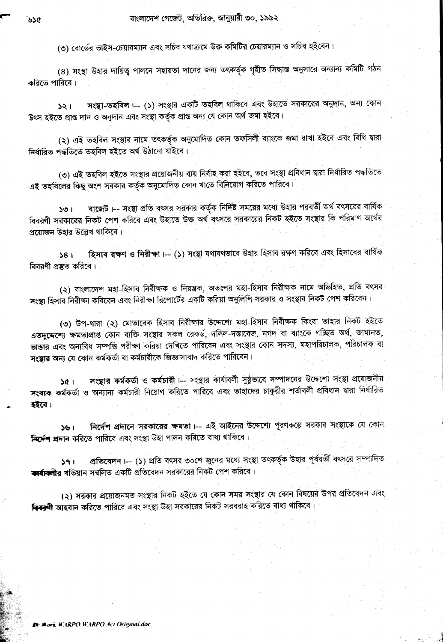(৩) বোর্ডের ভাইস-চেয়ারম্যান এবং সচিব যথাক্রমে উক্ত কমিটির চেয়ারম্যান ও সচিব হইবেন।

(৪) সংস্থা উহার দায়িত্ব পালনে সহায়তা দানের জন্য তৎকর্তৃক গৃহীত সিদ্ধান্ত অনুসারে অন্যান্য কমিটি গঠন কৱিতে পারিবে।

সংস্থা-তহবিল ।-- (১) সংস্থার একটি তহবিল থাকিবে এবং উহাতে সরকারের অনুদান, অন্য কোন  $152$ উৎস হইতে প্ৰাপ্ত দান ও অনুদান এবং সংস্থা কৰ্তৃক প্ৰাপ্ত অন্য যে কোন অৰ্থ জমা হইবে।

(২) এই তহবিল সংস্থার নামে তৎকর্তৃক অনুমোদিত কোন তফসিলী ব্যাংকে জমা রাখা হইবে এবং বিধি দ্বারা নিৰ্ধাৱিত পদ্ধতিতে তহবিল হইতে অৰ্থ উঠানো যাইবে।

(৩) এই তহবিল হইতে সংস্থার প্রয়োজনীয় ব্যয় নির্বাহ করা হইবে, তবে সংস্থা প্রবিধান দ্বারা নির্ধারিত পদ্ধতিতে এই তহবিলের কিছু অংশ সরকার কর্তৃক অনুমোদিত কোন খাতে বিনিয়োগ করিতে পারিবে।

বাজেট।-- সংস্থা প্রতি বৎসর সরকার কর্তৃক নির্দিষ্ট সময়ের মধ্যে উহার পরবর্তী অর্থ বৎসরের বার্ষিক  $10<sup>2</sup>$ বিবরণী সরকারের নিকট পেশ করিবে এবং উহাতে উক্ত অর্থ বৎসরে সরকারের নিকট হইতে সংস্থার কি পরিমাণ অর্থের প্রয়োজন উহার উল্লেখ থাকিবে।

হিসাব রক্ষণ ও নিরীক্ষা ।-- (১) সংস্থা যথাযথভাবে উহার হিসাব রক্ষণ করিবে এবং হিসাবের বার্ষিক  $38<sub>1</sub>$ বিবরণী প্রস্তুত করিবে।

(২) বাংলাদেশ মহা-হিসাব নিরীক্ষক ও নিয়ন্ত্রক, অতঃপর মহা-হিসাব নিরীক্ষক নামে অভিহিত, প্রতি বৎসর সংস্থা হিসাব নিরীক্ষা করিবেন এবং নিরীক্ষা রিপোর্টের একটি করিয়া অনুলিপি সরকার ও সংস্থার নিকট পেশ করিবেন।

(৩) উপ-ধারা (২) মোতাবেক হিসাব নিরীক্ষার উদ্দেশ্যে মহা-হিসাব নিরীক্ষক কিংবা তাহার নিকট হইতে এতদুদ্দেশ্যে ক্ষমতাপ্রাপ্ত কোন ব্যক্তি সংস্থার সকল রেকর্ড, দলিল-দস্তাবেজ, নগদ বা ব্যাংকে গচ্ছিত অর্থ, জামানত, তাতার এবং অন্যবিধ সম্পত্তি পরীক্ষা করিয়া দেখিতে পারিবেন এবং সংস্থার কোন সদস্য, মহাপরিচালক, পরিচালক বা সংস্থার অন্য যে কোন কর্মকর্তা বা কর্মচারীকে জিজ্ঞাসাবাদ করিতে পারিবেন।

সংস্থার কর্মকর্তা ও কর্মচারী।-- সংস্থার কার্যাবলী সুষ্ঠভাবে সম্পাদনের উদ্দেশ্যে সংস্থা প্রয়োজনীয়  $19$ সংব্যক কর্মকর্তা ও অন্যান্য কর্মচারী নিয়োগ করিতে পারিবে এবং তাহাদের চাকুরীর শর্তাবলী প্রবিধান দ্বারা নির্ধারিত হইবে।

নির্দেশ প্রদানে সরকারের ক্ষমতা i-- এই আইনের উদ্দেশ্যে পরণকল্পে সরকার সংস্থাকে যে কোন <del>নিৰ্দেশ</del> প্ৰদান কৱিতে পাৱিবে এবং সংস্থা উহা পালন কৱিতে বাধ্য থাকিবে।

প্রতিবেদন।-- (১) প্রতি বৎসর ৩০শে জুনের মধ্যে সংস্থা তৎকর্তৃক উহার পূর্ববর্তী বৎসরে সম্পাদিত 1 PC ক্সৰ্ব্ব্ব্ব্বীৰ খতিয়ান সম্বলিত একটি প্ৰতিবেদন সৱকারের নিকট পেশ করিবে।

(২) সরকার প্রয়োজনমত সংস্থার নিকট হইতে যে কোন সময় সংস্থার যে কোন বিষয়ের উপর প্রতিবেদন এবং <del>বিবর্</del>বী আহবান করিতে পারিবে এবং সংস্থা উহা সরকারের নিকট সরবরাহ করিতে বাধ্য থাকিবে।